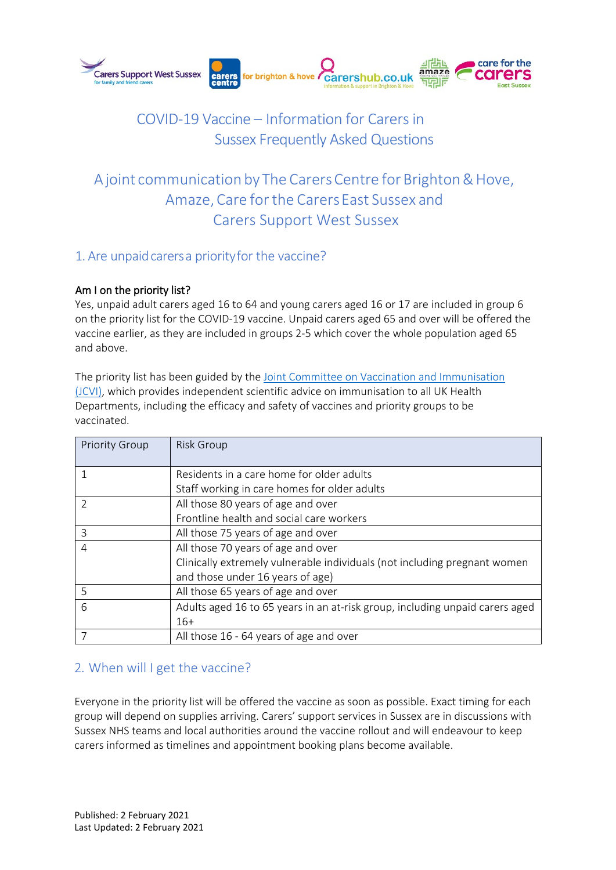

# COVID-19 Vaccine – Information for Carers in Sussex Frequently Asked Questions

# A joint communication by The Carers Centre for Brighton & Hove, Amaze, Care for the Carers East Sussex and Carers Support West Sussex

## 1. Are unpaid carers a priority for the vaccine?

### Am I on the priority list?

Yes, unpaid adult carers aged 16 to 64 and young carers aged 16 or 17 are included in group 6 on the priority list for the COVID-19 vaccine. Unpaid carers aged 65 and over will be offered the vaccine earlier, as they are included in groups 2-5 which cover the whole population aged 65 and above.

[The priority list has been guided by the Joint Committee](https://assets.publishing.service.gov.uk/government/uploads/system/uploads/attachment_data/file/950113/jcvi-advice-on-priority-groups-for-covid-19-vaccination-30-dec-2020-revised.pdf) on Vaccination and Immunisation [\(JCVI\), which provides independent scientific advice on immunisation to all UK Health](https://assets.publishing.service.gov.uk/government/uploads/system/uploads/attachment_data/file/950113/jcvi-advice-on-priority-groups-for-covid-19-vaccination-30-dec-2020-revised.pdf) Departments, including the efficacy and safety of vaccines and priority groups to be vaccinated.

| <b>Priority Group</b> | <b>Risk Group</b>                                                            |
|-----------------------|------------------------------------------------------------------------------|
|                       | Residents in a care home for older adults                                    |
|                       | Staff working in care homes for older adults                                 |
| V                     | All those 80 years of age and over                                           |
|                       | Frontline health and social care workers                                     |
| 3                     | All those 75 years of age and over                                           |
| 4                     | All those 70 years of age and over                                           |
|                       | Clinically extremely vulnerable individuals (not including pregnant women    |
|                       | and those under 16 years of age)                                             |
| 5                     | All those 65 years of age and over                                           |
| 6                     | Adults aged 16 to 65 years in an at-risk group, including unpaid carers aged |
|                       | $16+$                                                                        |
|                       | All those 16 - 64 years of age and over                                      |

## 2. When will I get the vaccine?

Everyone in the priority list will be offered the vaccine as soon as possible. Exact timing for each group will depend on supplies arriving. Carers' support services in Sussex are in discussions with Sussex NHS teams and local authorities around the vaccine rollout and will endeavour to keep carers informed as timelines and appointment booking plans become available.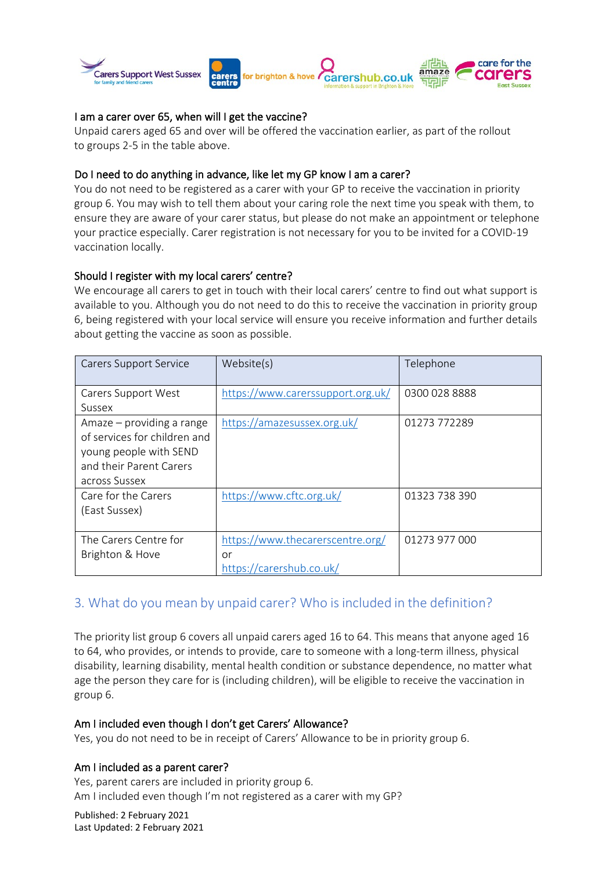

#### I am a carer over 65, when will I get the vaccine?

Unpaid carers aged 65 and over will be offered the vaccination earlier, as part of the rollout to groups 2-5 in the table above.

#### Do I need to do anything in advance, like let my GP know I am a carer?

You do not need to be registered as a carer with your GP to receive the vaccination in priority group 6. You may wish to tell them about your caring role the next time you speak with them, to ensure they are aware of your carer status, but please do not make an appointment or telephone your practice especially. Carer registration is not necessary for you to be invited for a COVID-19 vaccination locally.

#### Should I register with my local carers' centre?

We encourage all carers to get in touch with their local carers' centre to find out what support is available to you. Although you do not need to do this to receive the vaccination in priority group 6, being registered with your local service will ensure you receive information and further details about getting the vaccine as soon as possible.

| <b>Carers Support Service</b>                                                                                                   | Website(s)                                                         | Telephone     |
|---------------------------------------------------------------------------------------------------------------------------------|--------------------------------------------------------------------|---------------|
| Carers Support West                                                                                                             | https://www.carerssupport.org.uk/                                  | 0300 028 8888 |
| Sussex                                                                                                                          |                                                                    |               |
| Amaze – providing a range<br>of services for children and<br>young people with SEND<br>and their Parent Carers<br>across Sussex | https://amazesussex.org.uk/                                        | 01273 772289  |
| Care for the Carers<br>(East Sussex)                                                                                            | https://www.cftc.org.uk/                                           | 01323 738 390 |
| The Carers Centre for<br>Brighton & Hove                                                                                        | https://www.thecarerscentre.org/<br>or<br>https://carershub.co.uk/ | 01273 977 000 |

### 3. What do you mean by unpaid carer? Who isincluded in the definition?

The priority list group 6 covers all unpaid carers aged 16 to 64. This means that anyone aged 16 to 64, who provides, or intends to provide, care to someone with a long-term illness, physical disability, learning disability, mental health condition or substance dependence, no matter what age the person they care for is (including children), will be eligible to receive the vaccination in group 6.

#### Am I included even though I don't get Carers' Allowance?

Yes, you do not need to be in receipt of Carers' Allowance to be in priority group 6.

#### Am I included as a parent carer?

Yes, parent carers are included in priority group 6. Am I included even though I'm not registered as a carer with my GP?

Published: 2 February 2021 Last Updated: 2 February 2021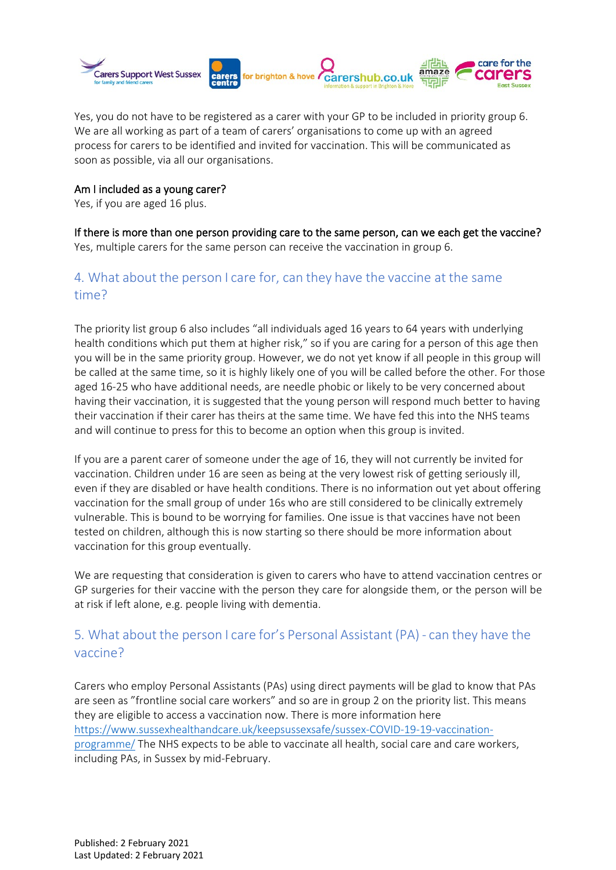

Yes, you do not have to be registered as a carer with your GP to be included in priority group 6. We are all working as part of a team of carers' organisations to come up with an agreed process for carers to be identified and invited for vaccination. This will be communicated as soon as possible, via all our organisations.

#### Am I included as a young carer?

Yes, if you are aged 16 plus.

If there is more than one person providing care to the same person, can we each get the vaccine? Yes, multiple carers for the same person can receive the vaccination in group 6.

# 4. What about the person I care for, can they have the vaccine at the same time?

The priority list group 6 also includes "all individuals aged 16 years to 64 years with underlying health conditions which put them at higher risk," so if you are caring for a person of this age then you will be in the same priority group. However, we do not yet know if all people in this group will be called at the same time, so it is highly likely one of you will be called before the other. For those aged 16-25 who have additional needs, are needle phobic or likely to be very concerned about having their vaccination, it is suggested that the young person will respond much better to having their vaccination if their carer has theirs at the same time. We have fed this into the NHS teams and will continue to press for this to become an option when this group is invited.

If you are a parent carer of someone under the age of 16, they will not currently be invited for vaccination. Children under 16 are seen as being at the very lowest risk of getting seriously ill, even if they are disabled or have health conditions. There is no information out yet about offering vaccination for the small group of under 16s who are still considered to be clinically extremely vulnerable. This is bound to be worrying for families. One issue is that vaccines have not been tested on children, although this is now starting so there should be more information about vaccination for this group eventually.

We are requesting that consideration is given to carers who have to attend vaccination centres or GP surgeries for their vaccine with the person they care for alongside them, or the person will be at risk if left alone, e.g. people living with dementia.

## 5. What about the person I care for's Personal Assistant (PA) - can they have the vaccine?

Carers who employ Personal Assistants (PAs) using direct payments will be glad to know that PAs [are seen as "frontline social care workers" and so are in group 2 on the priority list. This means](https://www.sussexhealthandcare.uk/keepsussexsafe/sussex-covid-19-vaccination-programme/) [they are e](https://www.sussexhealthandcare.uk/keepsussexsafe/sussex-covid-19-vaccination-programme/)ligible to access a vaccination now. There is more information here [https://www.sussexhealthandcare.uk/keepsussexsafe/sussex-](http://www.sussexhealthandcare.uk/keepsussexsafe/sussex-covid-19-vaccination-programme/)COVID-19-[19-vaccination](http://www.sussexhealthandcare.uk/keepsussexsafe/sussex-covid-19-vaccination-programme/)[programme/](http://www.sussexhealthandcare.uk/keepsussexsafe/sussex-covid-19-vaccination-programme/) The NHS expects to be able to vaccinate all health, social care and care workers, including PAs, in Sussex by mid-February.